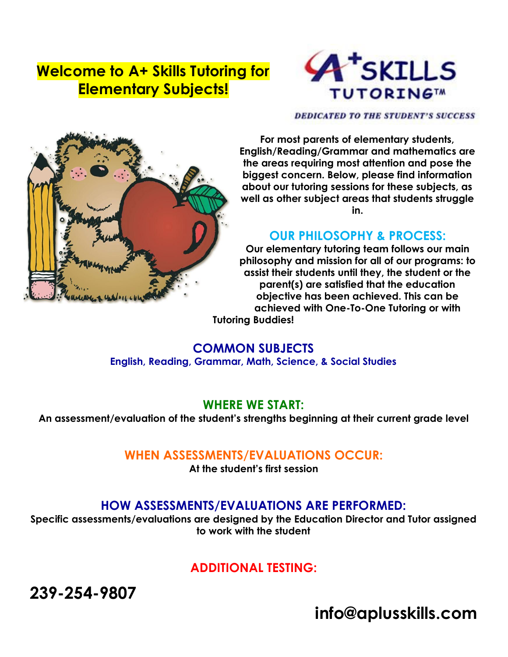## **Welcome to A+ Skills Tutoring for Elementary Subjects!**



**DEDICATED TO THE STUDENT'S SUCCESS** 



**For most parents of elementary students, English/Reading/Grammar and mathematics are the areas requiring most attention and pose the biggest concern. Below, please find information about our tutoring sessions for these subjects, as well as other subject areas that students struggle in.**

#### **OUR PHILOSOPHY & PROCESS:**

**Our elementary tutoring team follows our main philosophy and mission for all of our programs: to assist their students until they, the student or the parent(s) are satisfied that the education objective has been achieved. This can be achieved with One-To-One Tutoring or with**

**Tutoring Buddies!**

#### **COMMON SUBJECTS English, Reading, Grammar, Math, Science, & Social Studies**

#### **WHERE WE START:**

**An assessment/evaluation of the student's strengths beginning at their current grade level**

#### **WHEN ASSESSMENTS/EVALUATIONS OCCUR:**

**At the student's first session**

#### **HOW ASSESSMENTS/EVALUATIONS ARE PERFORMED:**

**Specific assessments/evaluations are designed by the Education Director and Tutor assigned to work with the student**

### **ADDITIONAL TESTING:**

**239-254-9807**

**info@aplusskills.com**